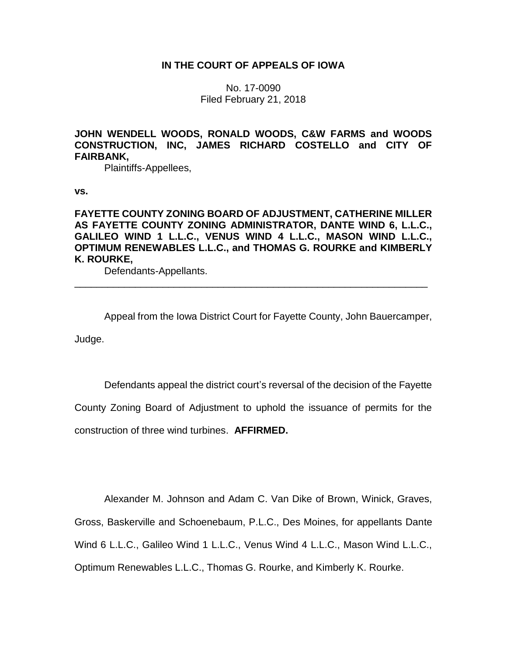## **IN THE COURT OF APPEALS OF IOWA**

No. 17-0090 Filed February 21, 2018

**JOHN WENDELL WOODS, RONALD WOODS, C&W FARMS and WOODS CONSTRUCTION, INC, JAMES RICHARD COSTELLO and CITY OF FAIRBANK,**

Plaintiffs-Appellees,

**vs.**

# **FAYETTE COUNTY ZONING BOARD OF ADJUSTMENT, CATHERINE MILLER AS FAYETTE COUNTY ZONING ADMINISTRATOR, DANTE WIND 6, L.L.C., GALILEO WIND 1 L.L.C., VENUS WIND 4 L.L.C., MASON WIND L.L.C., OPTIMUM RENEWABLES L.L.C., and THOMAS G. ROURKE and KIMBERLY K. ROURKE,**

\_\_\_\_\_\_\_\_\_\_\_\_\_\_\_\_\_\_\_\_\_\_\_\_\_\_\_\_\_\_\_\_\_\_\_\_\_\_\_\_\_\_\_\_\_\_\_\_\_\_\_\_\_\_\_\_\_\_\_\_\_\_\_\_

Defendants-Appellants.

Appeal from the Iowa District Court for Fayette County, John Bauercamper,

Judge.

Defendants appeal the district court's reversal of the decision of the Fayette County Zoning Board of Adjustment to uphold the issuance of permits for the construction of three wind turbines. **AFFIRMED.**

Alexander M. Johnson and Adam C. Van Dike of Brown, Winick, Graves, Gross, Baskerville and Schoenebaum, P.L.C., Des Moines, for appellants Dante Wind 6 L.L.C., Galileo Wind 1 L.L.C., Venus Wind 4 L.L.C., Mason Wind L.L.C., Optimum Renewables L.L.C., Thomas G. Rourke, and Kimberly K. Rourke.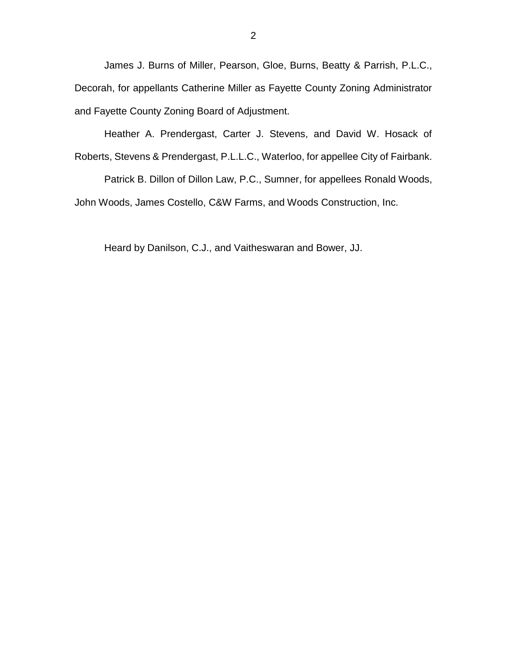James J. Burns of Miller, Pearson, Gloe, Burns, Beatty & Parrish, P.L.C., Decorah, for appellants Catherine Miller as Fayette County Zoning Administrator and Fayette County Zoning Board of Adjustment.

Heather A. Prendergast, Carter J. Stevens, and David W. Hosack of Roberts, Stevens & Prendergast, P.L.L.C., Waterloo, for appellee City of Fairbank.

Patrick B. Dillon of Dillon Law, P.C., Sumner, for appellees Ronald Woods, John Woods, James Costello, C&W Farms, and Woods Construction, Inc.

Heard by Danilson, C.J., and Vaitheswaran and Bower, JJ.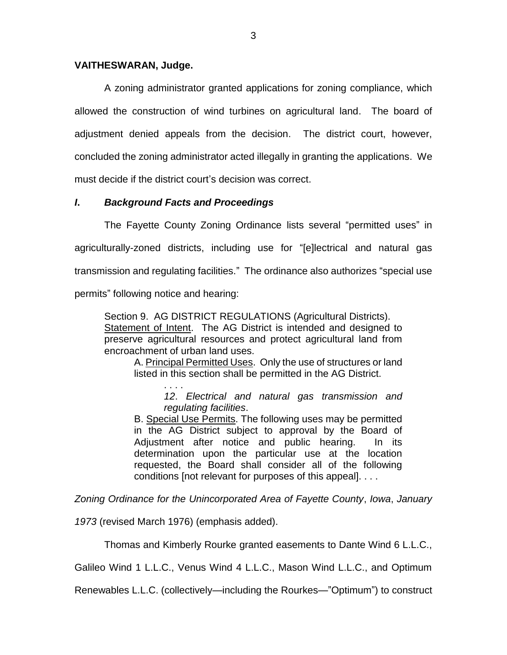### **VAITHESWARAN, Judge.**

A zoning administrator granted applications for zoning compliance, which allowed the construction of wind turbines on agricultural land. The board of adjustment denied appeals from the decision. The district court, however, concluded the zoning administrator acted illegally in granting the applications. We must decide if the district court's decision was correct.

# *I***.** *Background Facts and Proceedings*

The Fayette County Zoning Ordinance lists several "permitted uses" in agriculturally-zoned districts, including use for "[e]lectrical and natural gas transmission and regulating facilities." The ordinance also authorizes "special use permits" following notice and hearing:

Section 9. AG DISTRICT REGULATIONS (Agricultural Districts). Statement of Intent. The AG District is intended and designed to preserve agricultural resources and protect agricultural land from encroachment of urban land uses.

A. Principal Permitted Uses. Only the use of structures or land listed in this section shall be permitted in the AG District.

> . . . . *12*. *Electrical and natural gas transmission and regulating facilities*.

B. Special Use Permits. The following uses may be permitted in the AG District subject to approval by the Board of Adjustment after notice and public hearing. In its determination upon the particular use at the location requested, the Board shall consider all of the following conditions [not relevant for purposes of this appeal]. . . .

*Zoning Ordinance for the Unincorporated Area of Fayette County*, *Iowa*, *January* 

*1973* (revised March 1976) (emphasis added).

Thomas and Kimberly Rourke granted easements to Dante Wind 6 L.L.C.,

Galileo Wind 1 L.L.C., Venus Wind 4 L.L.C., Mason Wind L.L.C., and Optimum

Renewables L.L.C. (collectively—including the Rourkes—"Optimum") to construct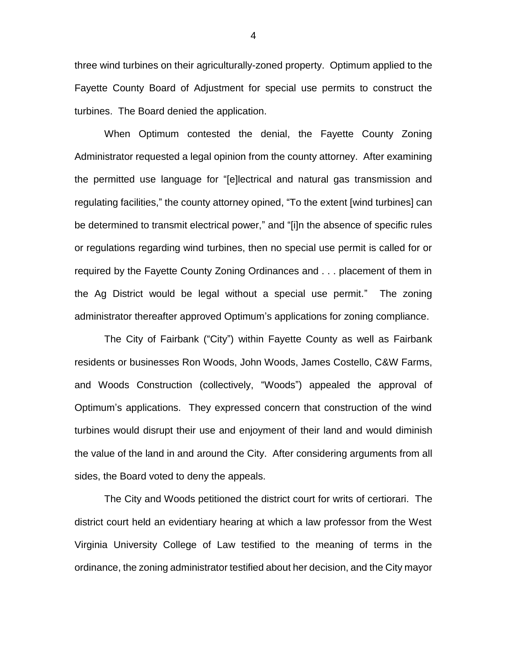three wind turbines on their agriculturally-zoned property. Optimum applied to the Fayette County Board of Adjustment for special use permits to construct the turbines. The Board denied the application.

When Optimum contested the denial, the Fayette County Zoning Administrator requested a legal opinion from the county attorney. After examining the permitted use language for "[e]lectrical and natural gas transmission and regulating facilities," the county attorney opined, "To the extent [wind turbines] can be determined to transmit electrical power," and "[i]n the absence of specific rules or regulations regarding wind turbines, then no special use permit is called for or required by the Fayette County Zoning Ordinances and . . . placement of them in the Ag District would be legal without a special use permit." The zoning administrator thereafter approved Optimum's applications for zoning compliance.

The City of Fairbank ("City") within Fayette County as well as Fairbank residents or businesses Ron Woods, John Woods, James Costello, C&W Farms, and Woods Construction (collectively, "Woods") appealed the approval of Optimum's applications. They expressed concern that construction of the wind turbines would disrupt their use and enjoyment of their land and would diminish the value of the land in and around the City. After considering arguments from all sides, the Board voted to deny the appeals.

The City and Woods petitioned the district court for writs of certiorari. The district court held an evidentiary hearing at which a law professor from the West Virginia University College of Law testified to the meaning of terms in the ordinance, the zoning administrator testified about her decision, and the City mayor

4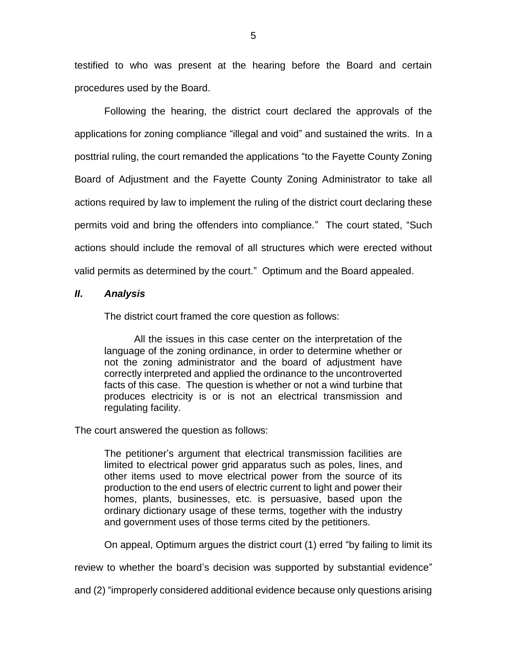testified to who was present at the hearing before the Board and certain procedures used by the Board.

Following the hearing, the district court declared the approvals of the applications for zoning compliance "illegal and void" and sustained the writs. In a posttrial ruling, the court remanded the applications "to the Fayette County Zoning Board of Adjustment and the Fayette County Zoning Administrator to take all actions required by law to implement the ruling of the district court declaring these permits void and bring the offenders into compliance." The court stated, "Such actions should include the removal of all structures which were erected without valid permits as determined by the court." Optimum and the Board appealed.

### *II***.** *Analysis*

The district court framed the core question as follows:

All the issues in this case center on the interpretation of the language of the zoning ordinance, in order to determine whether or not the zoning administrator and the board of adjustment have correctly interpreted and applied the ordinance to the uncontroverted facts of this case. The question is whether or not a wind turbine that produces electricity is or is not an electrical transmission and regulating facility.

The court answered the question as follows:

The petitioner's argument that electrical transmission facilities are limited to electrical power grid apparatus such as poles, lines, and other items used to move electrical power from the source of its production to the end users of electric current to light and power their homes, plants, businesses, etc. is persuasive, based upon the ordinary dictionary usage of these terms, together with the industry and government uses of those terms cited by the petitioners.

On appeal, Optimum argues the district court (1) erred "by failing to limit its

review to whether the board's decision was supported by substantial evidence"

and (2) "improperly considered additional evidence because only questions arising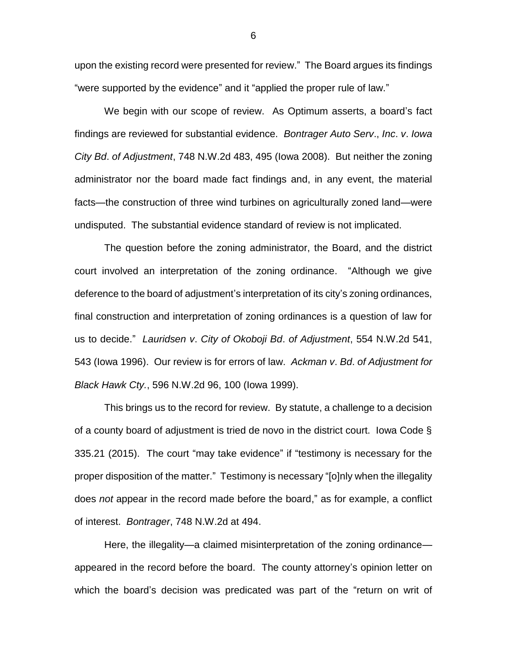upon the existing record were presented for review." The Board argues its findings "were supported by the evidence" and it "applied the proper rule of law."

We begin with our scope of review. As Optimum asserts, a board's fact findings are reviewed for substantial evidence. *Bontrager Auto Serv*., *Inc*. *v*. *Iowa City Bd*. *of Adjustment*, 748 N.W.2d 483, 495 (Iowa 2008). But neither the zoning administrator nor the board made fact findings and, in any event, the material facts—the construction of three wind turbines on agriculturally zoned land—were undisputed. The substantial evidence standard of review is not implicated.

The question before the zoning administrator, the Board, and the district court involved an interpretation of the zoning ordinance. "Although we give deference to the board of adjustment's interpretation of its city's zoning ordinances, final construction and interpretation of zoning ordinances is a question of law for us to decide." *Lauridsen v*. *City of Okoboji Bd*. *of Adjustment*, 554 N.W.2d 541, 543 (Iowa 1996). Our review is for errors of law. *Ackman v*. *Bd*. *of Adjustment for Black Hawk Cty.*, 596 N.W.2d 96, 100 (Iowa 1999).

This brings us to the record for review. By statute, a challenge to a decision of a county board of adjustment is tried de novo in the district court. Iowa Code § 335.21 (2015). The court "may take evidence" if "testimony is necessary for the proper disposition of the matter." Testimony is necessary "[o]nly when the illegality does *not* appear in the record made before the board," as for example, a conflict of interest. *Bontrager*, 748 N.W.2d at 494.

Here, the illegality—a claimed misinterpretation of the zoning ordinance appeared in the record before the board. The county attorney's opinion letter on which the board's decision was predicated was part of the "return on writ of

6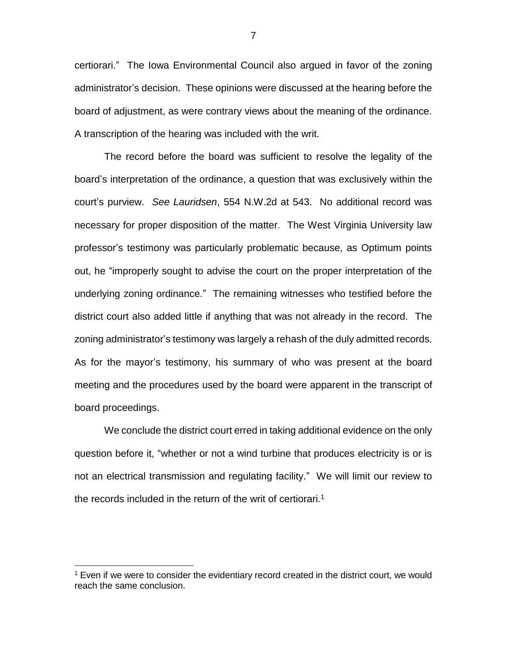certiorari." The Iowa Environmental Council also argued in favor of the zoning administrator's decision. These opinions were discussed at the hearing before the board of adjustment, as were contrary views about the meaning of the ordinance. A transcription of the hearing was included with the writ.

The record before the board was sufficient to resolve the legality of the board's interpretation of the ordinance, a question that was exclusively within the court's purview. *See Lauridsen*, 554 N.W.2d at 543. No additional record was necessary for proper disposition of the matter. The West Virginia University law professor's testimony was particularly problematic because, as Optimum points out, he "improperly sought to advise the court on the proper interpretation of the underlying zoning ordinance." The remaining witnesses who testified before the district court also added little if anything that was not already in the record. The zoning administrator's testimony was largely a rehash of the duly admitted records. As for the mayor's testimony, his summary of who was present at the board meeting and the procedures used by the board were apparent in the transcript of board proceedings.

We conclude the district court erred in taking additional evidence on the only question before it, "whether or not a wind turbine that produces electricity is or is not an electrical transmission and regulating facility." We will limit our review to the records included in the return of the writ of certiorari.<sup>1</sup>

 $\overline{a}$ 

7

 $<sup>1</sup>$  Even if we were to consider the evidentiary record created in the district court, we would</sup> reach the same conclusion.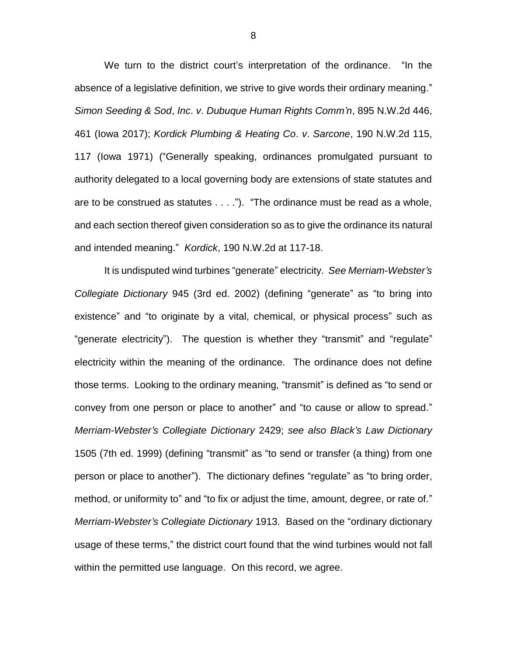We turn to the district court's interpretation of the ordinance. "In the absence of a legislative definition, we strive to give words their ordinary meaning." *Simon Seeding & Sod*, *Inc*. *v*. *Dubuque Human Rights Comm'n*, 895 N.W.2d 446, 461 (Iowa 2017); *Kordick Plumbing & Heating Co*. *v*. *Sarcone*, 190 N.W.2d 115, 117 (Iowa 1971) ("Generally speaking, ordinances promulgated pursuant to authority delegated to a local governing body are extensions of state statutes and are to be construed as statutes . . . ."). "The ordinance must be read as a whole, and each section thereof given consideration so as to give the ordinance its natural and intended meaning." *Kordick*, 190 N.W.2d at 117-18.

It is undisputed wind turbines "generate" electricity. *See Merriam-Webster's Collegiate Dictionary* 945 (3rd ed. 2002) (defining "generate" as "to bring into existence" and "to originate by a vital, chemical, or physical process" such as "generate electricity"). The question is whether they "transmit" and "regulate" electricity within the meaning of the ordinance. The ordinance does not define those terms. Looking to the ordinary meaning, "transmit" is defined as "to send or convey from one person or place to another" and "to cause or allow to spread." *Merriam-Webster's Collegiate Dictionary* 2429; *see also Black's Law Dictionary* 1505 (7th ed. 1999) (defining "transmit" as "to send or transfer (a thing) from one person or place to another"). The dictionary defines "regulate" as "to bring order, method, or uniformity to" and "to fix or adjust the time, amount, degree, or rate of." *Merriam-Webster's Collegiate Dictionary* 1913. Based on the "ordinary dictionary usage of these terms," the district court found that the wind turbines would not fall within the permitted use language. On this record, we agree.